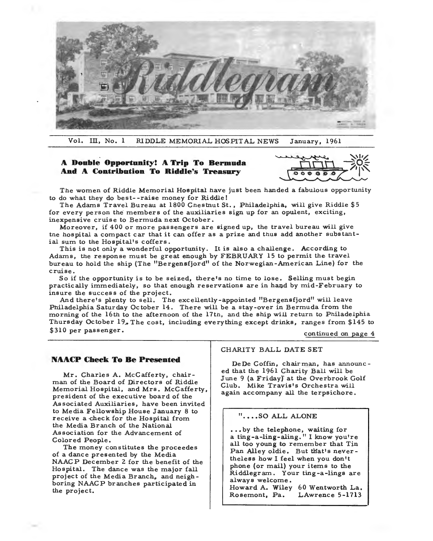

Vol. III, No. 1 RIDDLE MEMORIAL HOSPITAL NEWS January, 1961

# **A Double Opportunity? A Trip To Bermuda And A Contribution To Riddle's Treasury**



The women of Riddle Memorial Hospital nave just been handed a fabulous opportunity to do what they do best--raise money for Riddle!

The Adams Travel Bureau at 1800 Cnestnut St., Philadelphia, will give Riddle \$5 for every person the members of the auxiliaries sign up for an opulent, exciting, inexpensive cruise to Bermuda next October.

Moreover, if 400 or more passengers are signed up, the travel bureau will give tne hospital a compact car that it can offer as a prize and thus add another substantial sum to the Hospital's coffers.

This is not only a wonderful opportunity. It is also a challenge. According to Adams, the response must be great enough by FEBRUARY 15 to permit the travel bureau to hold the ship (The "Bergensfjord" of the Norwegian-American Line) for the cruise.

So if the opportunity is to be seized, there's no time to lose. Selling must begin practically immediately, so that enough reservations are in hand by mid-February to insure the success of the project.

And there's plenty to sell. The excellently-appointed "Bergensfjord" will leave Philadelphia Saturday October 14. There will be a stay-over in Bermuda from the morning of the 16th to the afternoon of the 17th, and the ship will return to Philadelphia Thursday October  $19_{\sigma}$  The cost, including everything except drinks, ranges from \$145 to \$310 per passenger.

continued on page 4

## **NAACP Cheek To Be Presented**

Mr. Charles A. McCafferty, chairman of the Board of Directors of Riddle Memorial Hospital, and Mrs. McCafferty, president of the executive board of the Associated Auxiliaries, have been invited to Media Fellowship House January 8 to receive a check for the Hospital from the Media Branch of the National Association for the Advancement of Colored People.

The money constitutes the proceedes of a dance presented by the Media NAACP December 2 for the benefit of the Hospital. The dance was the major fall project of the Media Branch, and neighboring NAACP branches participated in the project.

#### CHARITY BALL DATE SET

De De Coffin, chairman, has announc ed that the 1961 Charity Ball will be June 9 (a Friday) at the Overbrook Golf Club. Mike Travis's Orchestra will again accompany all the terpsichore.

### "....SO ALL ALONE

...by the telephone, waiting for a ting-a-ling-aling." I know you're all too young to remember that Tin Pan Alley oldie. But that's nevertheless how I feel when you don't phone {or mail) your items to the Riddlegram. Your ting-a-lings are always welcome. Howard A. Wiley 60 Wentworth La. Rosemont, Pa. LAwrence 5-1713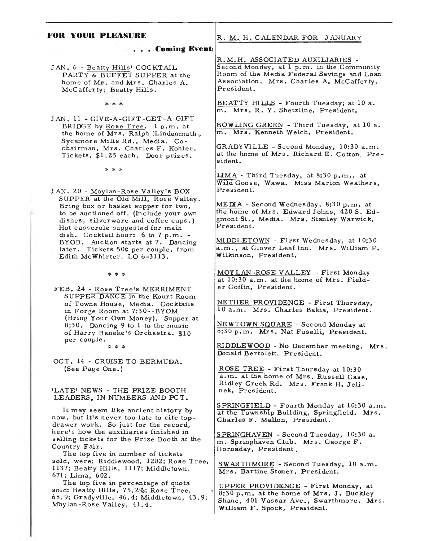# **FOR YOUR PLEASURE**

**. Coming Events** 

JAN. 6 - Beatty Hills' COCKTAIL PARTY & BUFFET SUPPER at the home of Mr. and Mrs. Charles A. McCafferty, Beatty Hills.

\* \* \*

JAN. 11 - GIVE-A-GIFT -GET-A-GIFT BRIDGE by Rose Tree. 1 p.m. at the home of Mrs. Ralph *!Lindenmu* Sycamore Mills Rd., Media. Cochairman, Mrs. Charles F. Kohler. Tickets, \$1.25 each. Door prizes.

\* \* \*

JAN. 20 - Moylan-Rose Valley's BOX SUPPER at the Old Mill, Rose Valley. Bring box or basket supper for two, to be auctioned off. {Include your own dishes, silverware and coffee cups.) Hot casserole suggested for main dish. Cocktail hour: 6 to 7 p.m. - BYOB. Auction starts at 7. Dancing later. Tickets 50¢ per couple, from Edith McWhirter, LO 6-3113.

\* \* \*

FEB. 24 - Rose Tree's MERRIMENT SUPPER DANCE in the Kourt Room of Towne House, Media. Cocktails in Forge Room at 7:30--BYOM {Bring Your Own Money). Supper at 8:30. Dancing 9 to 1 to the music of Harry Beneke's Orchestra. \$10 per couple.

\* \* \*

OCT. 14 - CRUISE TO BERMUDA. (See Page One.)

### 'LATE' NEWS - THE PRIZE BOOTH LEADERS, IN NUMBERS AND PCT,

It may seem like ancient history by now, but it's never too late to cite topdrawer work. So just for the record, here's how the auxiliaries finished in selling tickets for the Prize Booth at the Country Fair.

The top five in number of tickets sold, were: Riddlewood, 1282; Rose Tree, 1137; Beatty Hills, 1117; Middletown, 671; Lima, 602.

The top five in percentage of quota sold: Beatty Hills, 75.2%; Rose Tree 68.9; Gradyville, 46.4; Middletown, 43.9; Moylan-Rose Valley, 41. 4.

## R, M, H, CALENDAR FOR JANUARY

R.M.H. ASSOCIATED AUXILIARIES - Second Monday, at 1 p.m. in the Community Room of the Media Federal Savings and Loan, Association. Mrs. Charles A. Mccafferty, President.

BEATTY HILLS - Fourth Tuesday; at 10 a. m. Mrs. R. Y. Shetzline, President.

BOWLING GREEN - Third Tuesday, at 10 a. m. Mrs. Kenneth Welch, President.

GRADYVILLE - Second Monday, 10:30 a.m. at the home of Mrs. Richard E. Cotton President.

LIMA - Third Tuesday, at 8:30 p.m., at Wild Goose, Wawa. Miss Marion Weathers, President.

MEDIA - Second Wednesday, 8:30 p.m. at the home of Mrs. Edward Johns, 420 S. Edgmont St., Media. Mrs. Stanley Warwick, President.

MIDDLETOWN - First Wednesday, at 10:30 a.m., at Clover Leaf Inn. Mrs. William P. Wilkinson, President.

MOY LAN-ROSE VALLEY - First Monday at 10:30 a.m. at the home of Mrs. Fielder Coffin, President.

NETHER PROVIDENCE - First Thursday, 10 a.m. Mrs. Charles Bakia, President.

NEWTOWN SQUARE - Second Monday at 8:30 p.m. Mrs. Nat Fuselli, President.

RIDDLEWOOD - No December meeting. Mrs. Donald Bertolett, President.

ROSE TREE - First Thursday at 10:30 a.m. at the home of Mrs. Russell Case Ridley Creek Rd. Mrs. Frank H. Jeli-' nek, President.

SPRINGFIELD - Fourth Monday at 10:30 a.m, at the Township Building, Springfield. Mrs, Charles F. Mallon, President.

SPRINGHAVEN - Second Tuesday, 10:30 a. m. Springhaven Club. Mrs. George F. Hornaday, President.

SWARTHMORE - Second Tuesday, 10 a.m. Mrs. Bartine Stoner, President.

UPPER PROVIDENCE - First Monday, at 8:30 p.m. at the home of Mrs. J. Buckley Shane, 401 Vassar Ave., Swarthmore. Mrs. William F. Spock, President.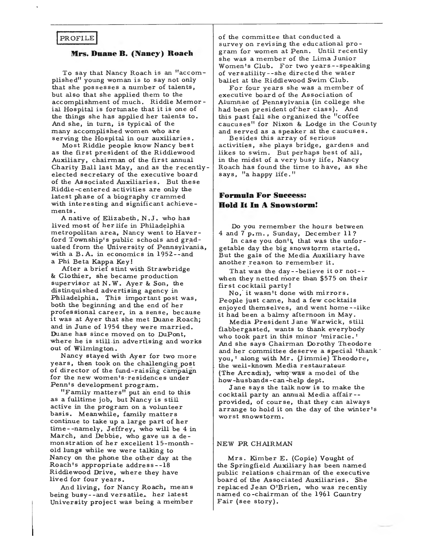## PROFILE

### **Mrs. Duane B. (Nancy) Roach**

To say that Nancy Roach is an "accom· plished<sup>11</sup> young woman is to say not only that she possesses a number of talents, but also that she applied them to the accomplishment of much. Riddle Memor ial Hospital is fortunate that it is one of the things she has applied her talents to. And she, in turn, is typical of the many accomplished women who are serving the Hospital in our auxiliaries.

Most Riddle people know Nancy best as the first president of the Riddlewood Auxiliary, chairman of the first annual Charity Ball last May, and as the recentlyelected secretary of the executive board of the Associated Auxiliaries. But these Riddle-centered activities are only the latest phase of a biography crammed with interesting and significant achievements.

A native of Elizabeth, N .J. who has lived most of her life in Philadelphia metropolitan area, Nancy went to Haverford Township's public schools and graduated from the University of Pennsylvania, with a B. A. in economics in 1952--and a Phi Beta Kappa Key!

After a brief stint with Strawbridge & Clothier, she became production supervisor at N. W. Ayer & Son, the distinquished advertising agency in Philadelphia. This important post was, both the beginning and the end of her professional career, in a sense, because it was at Ayer that she met Duane Roach; and in June of 1954 they were married. Duane has since moved on to DuPont, where he is still.in advertising and works out of Wilmington.

Nancy stayed with Ayer for two more years, then took on the challenging post of director of the fund-raising campaignfor the new women's-residences under Penn's development program.

"Family matters" put an end to this as a fulltime job, but Nancy is still active in the program on a volunteer basis. Meanwhile, family matters continue to take up a large part of her time--namely, Jeffrey, who will be 4 in March, and Debbie, who gave us a demonstration of her excellent 15-monthold lungs while we were talking to Nancy on the phone the other day at the Roach's appropriate address- -18 Riddlewood Drive, where they have lived for four years.

And living, for Nancy Roach, means being busy--and versatile. her latest University project was being a member of the committee that conducted a survey on revising the educational program for women at Penn. Until recently she was a member of the Lima Junior Women's Club. For two years--speaking of versatility--she directed the water ballet at the Riddlewood Swim Club.

For four years she was a member of executive board of the Association of Alumnae of Pennsylvania (in college she had been president of·her class). And this past fail she organized the "coffee caucuses" for Nixon & Lodge in the County and served as a speaker at the caucuses.

Besides this array of serious activities, she plays bridge, gardens and likes to swim. But perhaps best of all, in the midst of a very busy life, Nancy Roach has found the time to have, as she says, "a happy life."

# **Formula For Success: Hold It In A Snowstorm!**

Do you remember the hours between 4 and 7 p.m., Sunday, December 11?

In case you don't, that was the unforgetable day the big snowstorm started. But the gals of the Media Auxiliary have another reason to remember it.

That was the day--believe it or not-when they netted more than \$575 on their first cocktail party!

No, it wasn't done with mirrors. People just came, had a few cocktails enjoyed themselves, and went home--iike it had been a balmy afternoon in May.

Media President Jane Warwick, stiH flabbergasted, wants to thank everybody who took part in this minor 'miracle. 1 And she says Chairman Dorothy Theodore and her committee deserve a special 'thank' you, 1 along with Mr. (Jimmie) Theodore, the well-known Media restaurateur (The Arcadia), who was a model of the how-husbands-can~help dept.

Jane says the talk now is to make the cocktail party an annual Media affair- provided, of course, that they can always arrange to hold it on the day of the winter's worst snowstorm.

### NEW PR CHAIRMAN

Mrs. Kimber E. (Gopie) Vought of the Springfield Auxiliary has been named public relations chairman of the executive board of the Associated Auxiliaries. She replaced Jean O'Brien, who was recently named co-chairman of the 1961 Country Fair (see story).